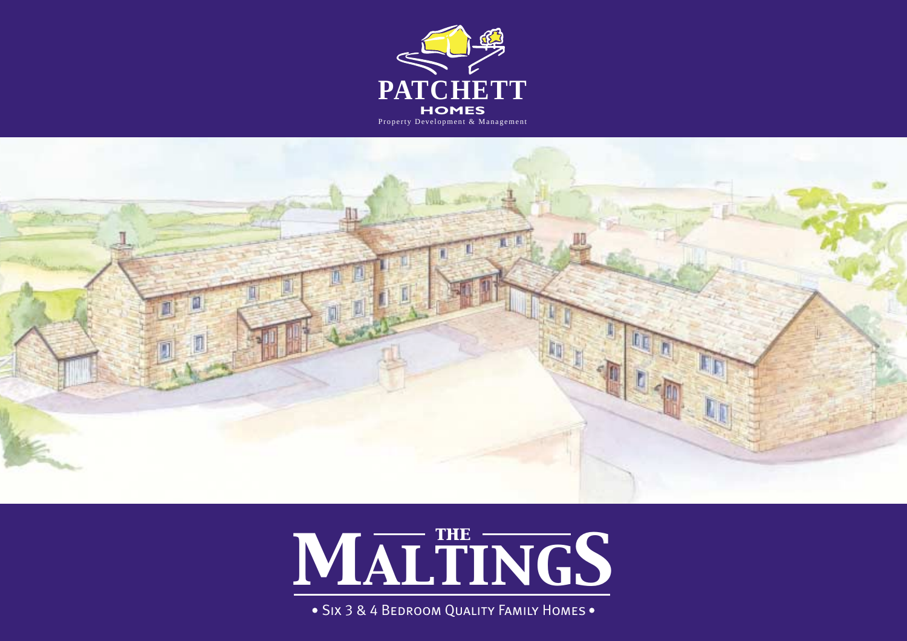





· SIX 3 & 4 BEDROOM QUALITY FAMILY HOMES.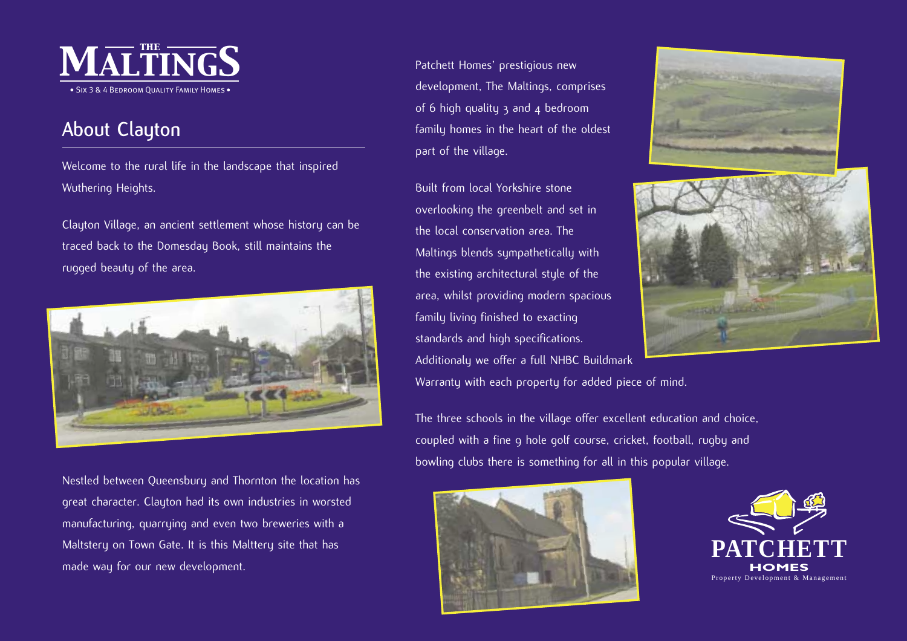

# **About Clayton**

Welcome to the rural life in the landscape that inspired Wuthering Heights.

Clayton Village, an ancient settlement whose history can be traced back to the Domesday Book, still maintains the rugged beauty of the area.



Nestled between Queensbury and Thornton the location has great character. Clayton had its own industries in worsted manufacturing, quarrying and even two breweries with a Maltstery on Town Gate. It is this Malttery site that has made way for our new development.

Patchett Homes' prestigious new development, The Maltings, comprises of 6 high quality 3 and 4 bedroom family homes in the heart of the oldest part of the village.

Built from local Yorkshire stoneoverlooking the greenbelt and set in the local conservation area. TheMaltings blends sympathetically with the existing architectural style of the area, whilst providing modern spacious family living finished to exacting standards and high specifications. Additionaly we offer a full NHBC Buildmark Warranty with each property for added piece of mind.

The three schools in the village offer excellent education and choice, coupled with a fine 9 hole golf course, cricket, football, rugby and bowling clubs there is something for all in this popular village.



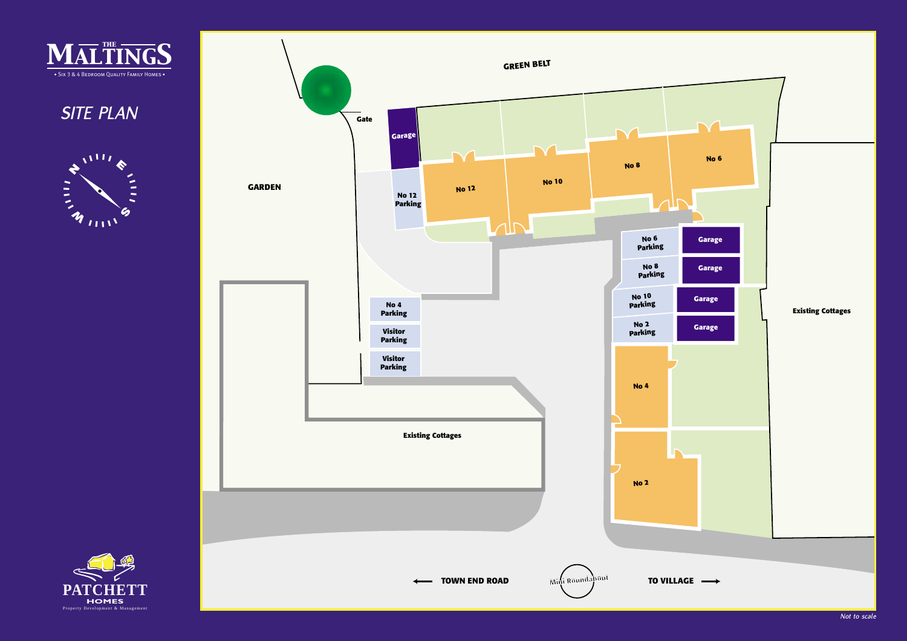

*SITE PLAN*





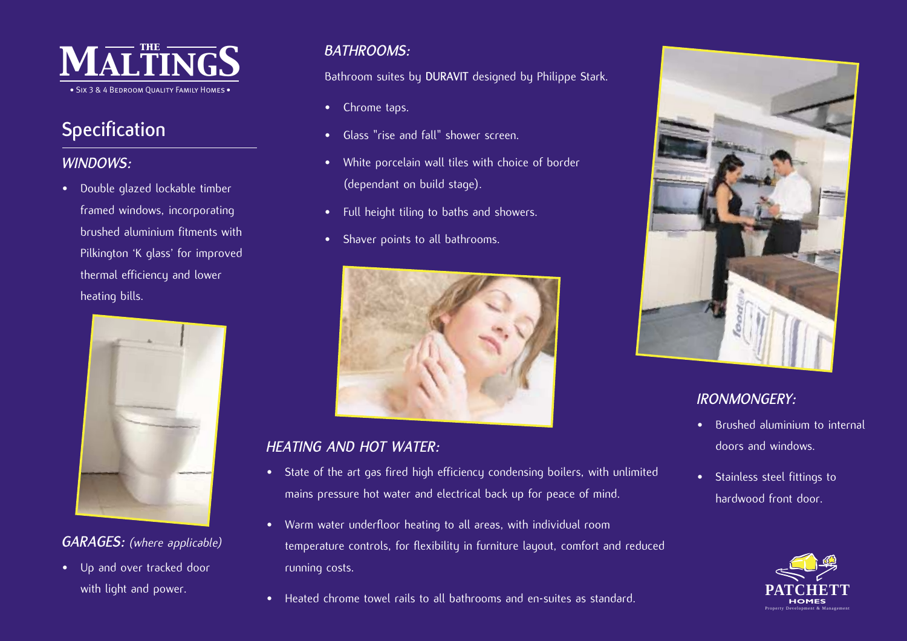

# **Specification**

### *WINDOWS:*

• Double glazed lockable timber framed windows, incorporating brushed aluminium fitments with Pilkington 'K glass' for improved thermal efficiency and lower heating bills.



### *GARAGES: (where applicable)*

• Up and over tracked door with light and power.

### *BATHROOMS:*

Bathroom suites by **DURAVIT** designed by Philippe Stark.

- Chrome taps.
- •Glass "rise and fall" shower screen.
- White porcelain wall tiles with choice of border (dependant on build stage).
- Full height tiling to baths and showers.
- Shaver points to all bathrooms.



### *HEATING AND HOT WATER:*

- State of the art gas fired high efficiency condensing boilers, with unlimited mains pressure hot water and electrical back up for peace of mind.
- Warm water underfloor heating to all areas, with individual room temperature controls, for flexibility in furniture layout, comfort and reduced running costs.
- •Heated chrome towel rails to all bathrooms and en-suites as standard.



### *IRONMONGERY:*

- Brushed aluminium to internaldoors and windows.
- Stainless steel fittings to hardwood front door.

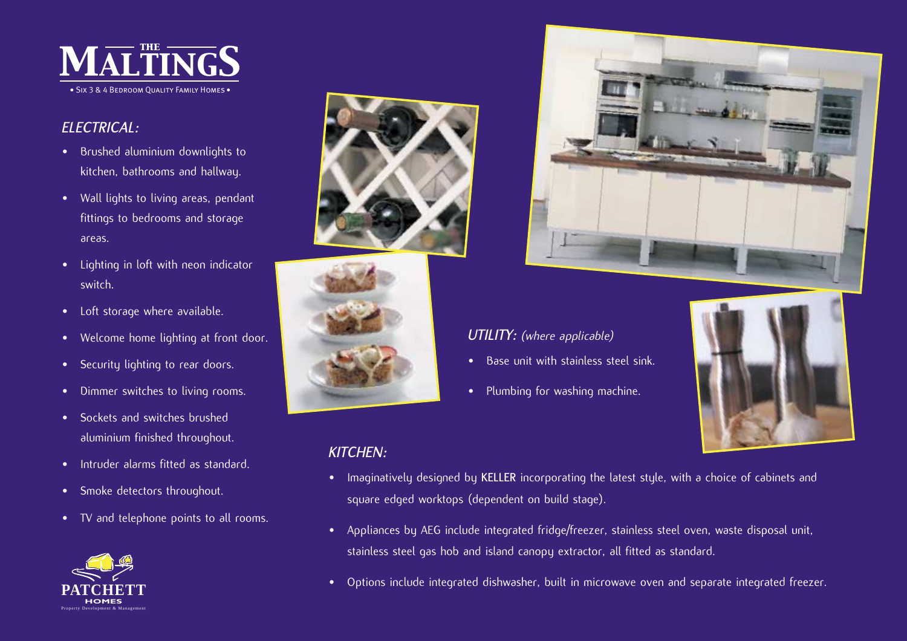

### *ELECTRICAL:*

- Brushed aluminium downlights to kitchen, bathrooms and hallway.
- Wall lights to living areas, pendant fittings to bedrooms and storage areas.
- Lighting in loft with neon indicator switch.
- Loft storage where available.
- Welcome home lighting at front door.
- •Security lighting to rear doors.
- •Dimmer switches to living rooms.
- • Sockets and switches brushed aluminium finished throughout.
- •Intruder alarms fitted as standard.
- Smoke detectors throughout.
- TV and telephone points to all rooms.









# *UTILITY: (where applicable)*

- Base unit with stainless steel sink.
- Plumbing for washing machine.



# *KITCHEN:*

- • Imaginatively designed by **KELLER** incorporating the latest style, with a choice of cabinets and square edged worktops (dependent on build stage).
- • Appliances by AEG include integrated fridge/freezer, stainless steel oven, waste disposal unit, stainless steel gas hob and island canopy extractor, all fitted as standard.
- •Options include integrated dishwasher, built in microwave oven and separate integrated freezer.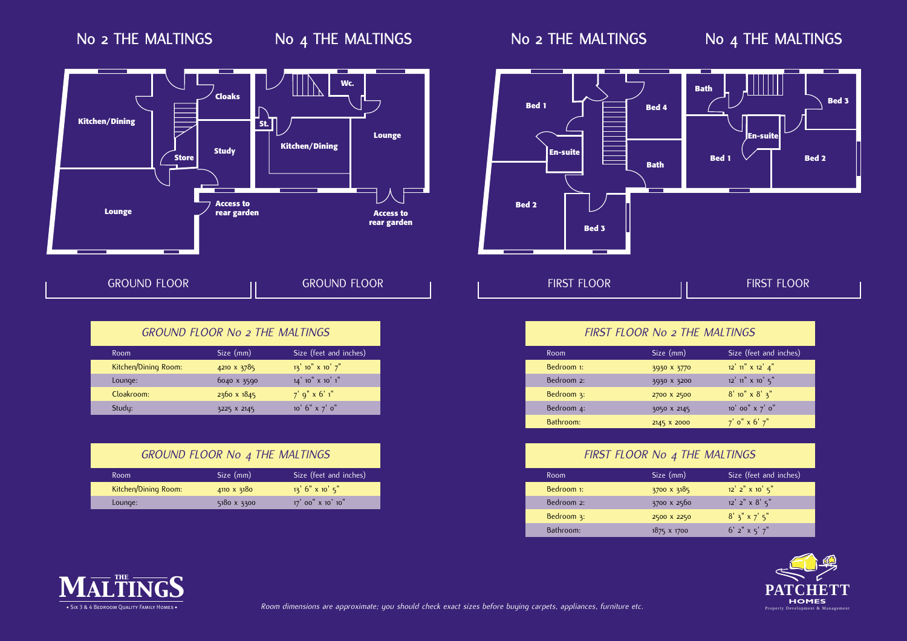# **No 2 THE MALTINGS No 4 THE MALTINGS**





| <b>GROUND FLOOR</b> | <b>GROUND FLOOR</b> |
|---------------------|---------------------|
|                     |                     |

|      | <b>GROUND FLOOR No 2 THE MALTINGS</b> |                        |
|------|---------------------------------------|------------------------|
| Room | Size (mm)                             | Size (feet and inches) |
|      |                                       |                        |

| Kitchen/Dining Room: | 4210 X 3785        | $13'$ 10" $\times$ 10' $7"$ |
|----------------------|--------------------|-----------------------------|
| Lounge:              | 6040 x 3590        | $14'$ 10" $\times$ 10' 1"   |
| Cloakroom:           | $2360 \times 1845$ | $7'$ q" x 6' 1"             |
| Study:               | 3225 X 2145        | 10 $6" \times 7'$ 0"        |

| <b>GROUND FLOOR No 4 THE MALTINGS</b> |             |                        |  |
|---------------------------------------|-------------|------------------------|--|
| Room                                  | Size (mm)   | Size (feet and inches) |  |
| Kitchen/Dining Room:                  | 4110 X 3180 | $13'$ 6" x 10' 5"      |  |
| Lounge:                               | 5180 x 3300 | 17' 00" x 10' 10"      |  |



| FIRST FLOOR No 2 THE MALTINGS |             |                                   |
|-------------------------------|-------------|-----------------------------------|
| Room                          | Size (mm)   | Size (feet and inches)            |
| Bedroom 1:                    | 3930 X 3770 | $12'$ $11''$ $\times$ $12'$ $4''$ |
| Bedroom 2:                    | 3930 X 3200 | $12'$ 11" $\times$ 10' $5$ "      |
| Bedroom 3:                    | 2700 X 2500 | $8'$ 10" x $8'$ 3"                |
| Bedroom 4:                    | 3050 X 2145 | 10' 00" x 7' 0"                   |
| Bathroom:                     | 2145 X 2000 | $7'$ o" x 6' $7''$                |

| FIRST FLOOR No 4 THE MALTINGS |                    |                                 |  |
|-------------------------------|--------------------|---------------------------------|--|
| Room                          | Size (mm)          | Size (feet and inches)          |  |
| Bedroom 1:                    | 3700 x 3185        | $12'$ 2" $\times$ 10 $5"$       |  |
| Bedroom 2:                    | 3700 x 2560        | $12'$ $2''$ $\times$ $8'$ $5''$ |  |
| Bedroom 3:                    | 2500 X 2250        | $8'$ 3" x 7' 5"                 |  |
| Bathroom:                     | $1875 \times 1700$ | $6'$ 2" $\times$ 5' 7"          |  |



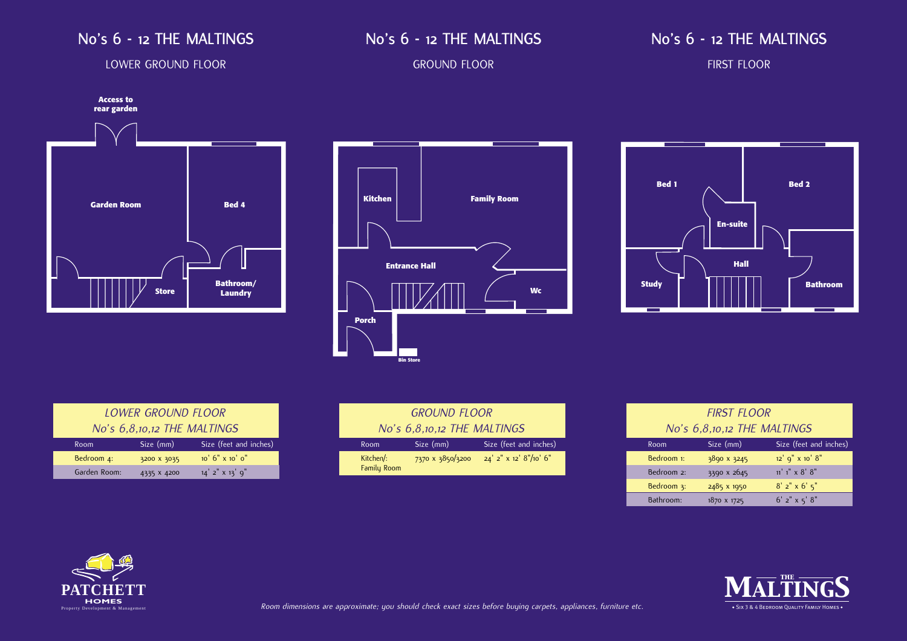### **No's 6 - 12 THE MALTINGS**

## **No's 6 - 12 THE MALTINGS**

## **No's 6 - 12 THE MALTINGS**

### LOWER GROUND FLOOR

### GROUND FLOOR

### FIRST FLOOR







| <b>LOWER GROUND FLOOR</b>     |             |                          |
|-------------------------------|-------------|--------------------------|
| No's $6,8,10,12$ THE MALTINGS |             |                          |
| Room                          | Size (mm)   | Size (feet and inches)   |
| Bedroom 4:                    | 3200 X 3035 | $10'$ 6" $\times$ 10' 0" |
| Garden Room:                  | 4335 X 4200 | $14'$ 2" $\times$ 13' 9" |

| <b>GROUND FLOOR</b>         |                  |                             |
|-----------------------------|------------------|-----------------------------|
| No's 6,8,10,12 THE MALTINGS |                  |                             |
| Room                        | Size (mm)        | Size (feet and inches)      |
| Kitchen/:<br>Family Room    | 7370 x 3850/3200 | $24'$ 2" x 12' $8''/10'$ 6" |

| <b>FIRST FLOOR</b>          |             |                        |  |
|-----------------------------|-------------|------------------------|--|
| No's 6,8,10,12 THE MALTINGS |             |                        |  |
| Room                        | Size (mm)   | Size (feet and inches) |  |
| Bedroom 1:                  | 3890 x 3245 | 12' 9" x 10' 8"        |  |
| Bedroom 2:                  | 3390 x 2645 | $11'1'' \times 8' 8''$ |  |
| Bedroom 3:                  | 2485 x 1950 | $8'$ 2" x 6' 5"        |  |
| Bathroom:                   | 1870 x 1725 | $6'$ 2" x 5' $8"$      |  |